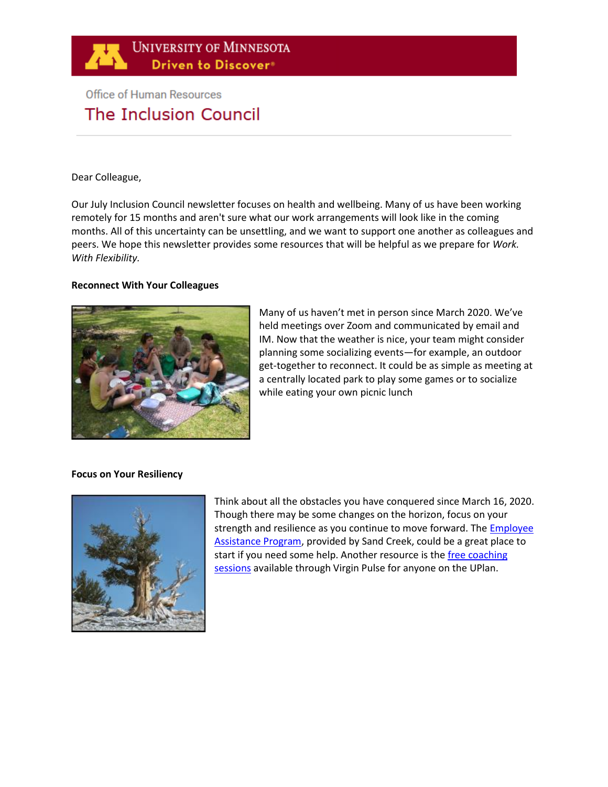

# **Office of Human Resources** The Inclusion Council

### Dear Colleague,

Our July Inclusion Council newsletter focuses on health and wellbeing. Many of us have been working remotely for 15 months and aren't sure what our work arrangements will look like in the coming months. All of this uncertainty can be unsettling, and we want to support one another as colleagues and peers. We hope this newsletter provides some resources that will be helpful as we prepare for *Work. With Flexibility.*

### **Reconnect With Your Colleagues**



Many of us haven't met in person since March 2020. We've held meetings over Zoom and communicated by email and IM. Now that the weather is nice, your team might consider planning some socializing events—for example, an outdoor get-together to reconnect. It could be as simple as meeting at a centrally located park to play some games or to socialize while eating your own picnic lunch

# **Focus on Your Resiliency**



Think about all the obstacles you have conquered since March 16, 2020. Though there may be some changes on the horizon, focus on your strength and resilience as you continue to move forward. The Employee [Assistance Program,](https://humanresources.umn.edu/benefits/employee-assistance) provided by Sand Creek, could be a great place to start if you need some help. Another resource is the free coaching [sessions](https://humanresources.umn.edu/wellbeingprogram) available through Virgin Pulse for anyone on the UPlan.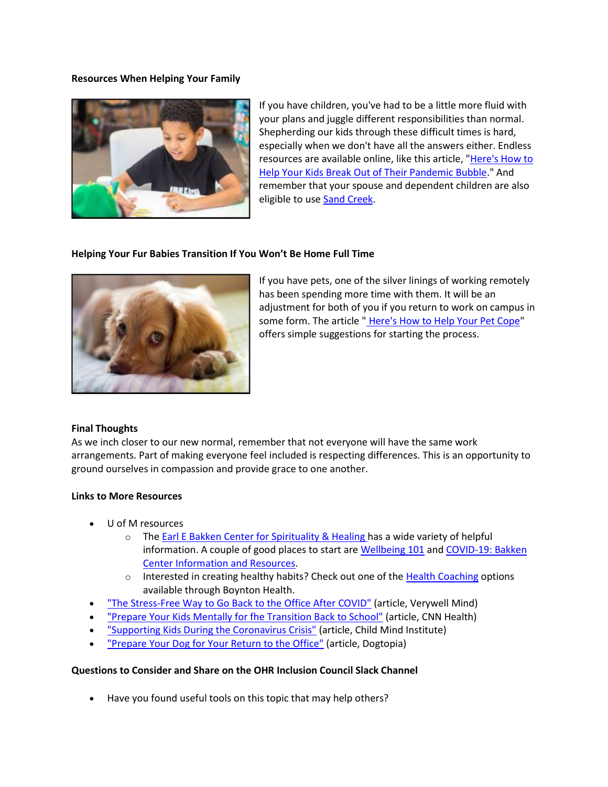### **Resources When Helping Your Family**



If you have children, you've had to be a little more fluid with your plans and juggle different responsibilities than normal. Shepherding our kids through these difficult times is hard, especially when we don't have all the answers either. Endless resources are available online, like this article, "Here's How to [Help Your Kids Break Out of Their Pandemic Bubble.](https://theconversation.com/heres-how-to-help-your-kids-break-out-of-their-pandemic-bubble-and-transition-back-to-being-with-others-157732)" And remember that your spouse and dependent children are also eligible to us[e Sand Creek.](https://myassistanceprogram.com/sandcreek/)

### **Helping Your Fur Babies Transition If You Won't Be Home Full Time**



If you have pets, one of the silver linings of working remotely has been spending more time with them. It will be an adjustment for both of you if you return to work on campus in some form. The article " [Here's How to Help Your Pet Cope"](https://www.bhg.com/pets/preparing-pets-post-coronavirus/) offers simple suggestions for starting the process.

#### **Final Thoughts**

As we inch closer to our new normal, remember that not everyone will have the same work arrangements. Part of making everyone feel included is respecting differences. This is an opportunity to ground ourselves in compassion and provide grace to one another.

# **Links to More Resources**

- U of M resources
	- $\circ$  The [Earl E Bakken Center for Spirituality & Healing h](https://www.csh.umn.edu/)as a wide variety of helpful information. A couple of good places to start are [Wellbeing 101](https://www.csh.umn.edu/sites/csh.umn.edu/files/umncsh_wellbeing_guide_adults_fall2020.pdf) and [COVID-19: Bakken](https://www.csh.umn.edu/covid19)  [Center Information and Resources.](https://www.csh.umn.edu/covid19)
	- $\circ$  Interested in creating healthy habits? Check out one of the [Health Coaching](https://boynton.umn.edu/clinics/health-coaching) options available through Boynton Health.
- ["The Stress-Free Way to Go Back to the Office After COVID"](https://www.verywellmind.com/going-back-to-the-office-after-the-pandemic-5180873) (article, Verywell Mind)
- ["Prepare Your Kids Mentally for fhe Transition Back to School"](https://www.cnn.com/2021/03/24/health/returning-to-school-after-covid-wellness/index.html) (article, CNN Health)
- ["Supporting Kids During the Coronavirus Crisis"](https://childmind.org/article/supporting-kids-during-the-covid-19-crisis/) (article, Child Mind Institute)
- ["Prepare Your Dog for Your Return to the Office"](https://www.dogtopia.com/blog/prepare-your-dog-for-your-return-to-the-office-post-pandemic/) (article, Dogtopia)

#### **Questions to Consider and Share on the [OHR Inclusion Council Slack Channel](https://app.slack.com/client/T016T4MRDPH/C0176FHCHBP)**

Have you found useful tools on this topic that may help others?